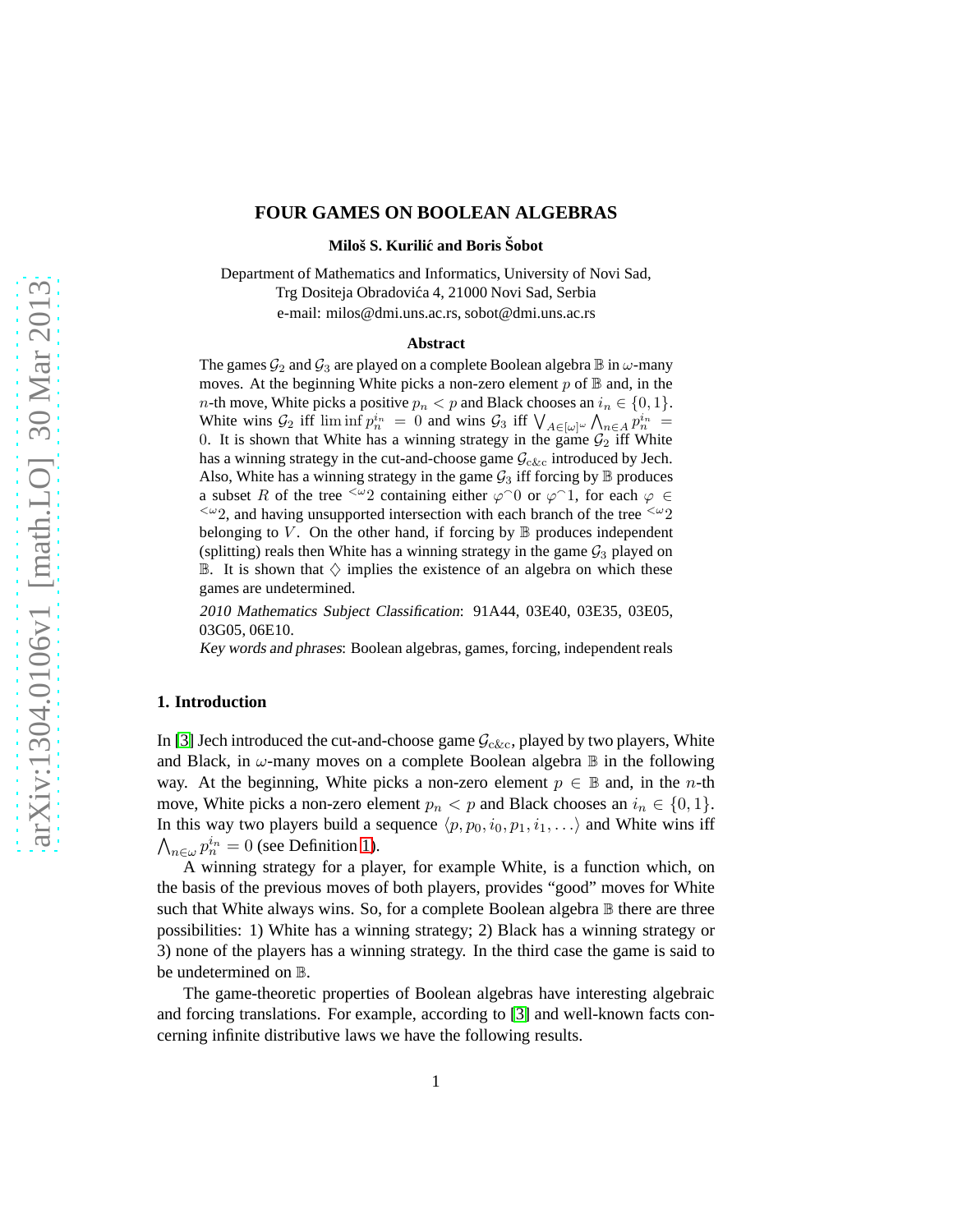# **FOUR GAMES ON BOOLEAN ALGEBRAS**

**Miloš S. Kurilić and Boris Sobot** 

Department of Mathematics and Informatics, University of Novi Sad, Trg Dositeja Obradovića 4, 21000 Novi Sad, Serbia e-mail: milos@dmi.uns.ac.rs, sobot@dmi.uns.ac.rs

#### **Abstract**

The games  $G_2$  and  $G_3$  are played on a complete Boolean algebra  $\mathbb B$  in  $\omega$ -many moves. At the beginning White picks a non-zero element  $p$  of  $\mathbb B$  and, in the *n*-th move, White picks a positive  $p_n < p$  and Black chooses an  $i_n \in \{0, 1\}$ . White wins  $\mathcal{G}_2$  iff  $\liminf p_n^{i_n} = 0$  and wins  $\mathcal{G}_3$  iff  $\bigvee_{A \in [\omega]^{\omega}} \bigwedge_{n \in A} p_n^{i_n} =$ 0. It is shown that White has a winning strategy in the game  $G_2$  iff White has a winning strategy in the cut-and-choose game  $\mathcal{G}_{c\&c}$  introduced by Jech. Also, White has a winning strategy in the game  $G_3$  iff forcing by  $\mathbb B$  produces a subset R of the tree  $\leq \omega_2$  containing either  $\varphi \circ 0$  or  $\varphi \circ 1$ , for each  $\varphi \in$  $\leq \omega_2$ , and having unsupported intersection with each branch of the tree  $\leq \omega_2$ belonging to V. On the other hand, if forcing by  $\mathbb B$  produces independent (splitting) reals then White has a winning strategy in the game  $G_3$  played on B. It is shown that  $\diamondsuit$  implies the existence of an algebra on which these games are undetermined.

<sup>2010</sup> Mathematics Subject Classification: 91A44, 03E40, 03E35, 03E05, 03G05, 06E10.

Key words and phrases: Boolean algebras, games, forcing, independent reals

### **1. Introduction**

In [\[3\]](#page-9-0) Jech introduced the cut-and-choose game  $\mathcal{G}_{c\&c}$ , played by two players, White and Black, in  $\omega$ -many moves on a complete Boolean algebra  $\mathbb B$  in the following way. At the beginning, White picks a non-zero element  $p \in \mathbb{B}$  and, in the *n*-th move, White picks a non-zero element  $p_n < p$  and Black chooses an  $i_n \in \{0, 1\}$ . In this way two players build a sequence  $\langle p, p_0, i_0, p_1, i_1, \ldots \rangle$  and White wins iff  $\bigwedge_{n\in\omega}p_n^{i_n}=0$  (see Definition [1\)](#page-1-0).

A winning strategy for a player, for example White, is a function which, on the basis of the previous moves of both players, provides "good" moves for White such that White always wins. So, for a complete Boolean algebra  $\mathbb B$  there are three possibilities: 1) White has a winning strategy; 2) Black has a winning strategy or 3) none of the players has a winning strategy. In the third case the game is said to be undetermined on B.

The game-theoretic properties of Boolean algebras have interesting algebraic and forcing translations. For example, according to [\[3\]](#page-9-0) and well-known facts concerning infinite distributive laws we have the following results.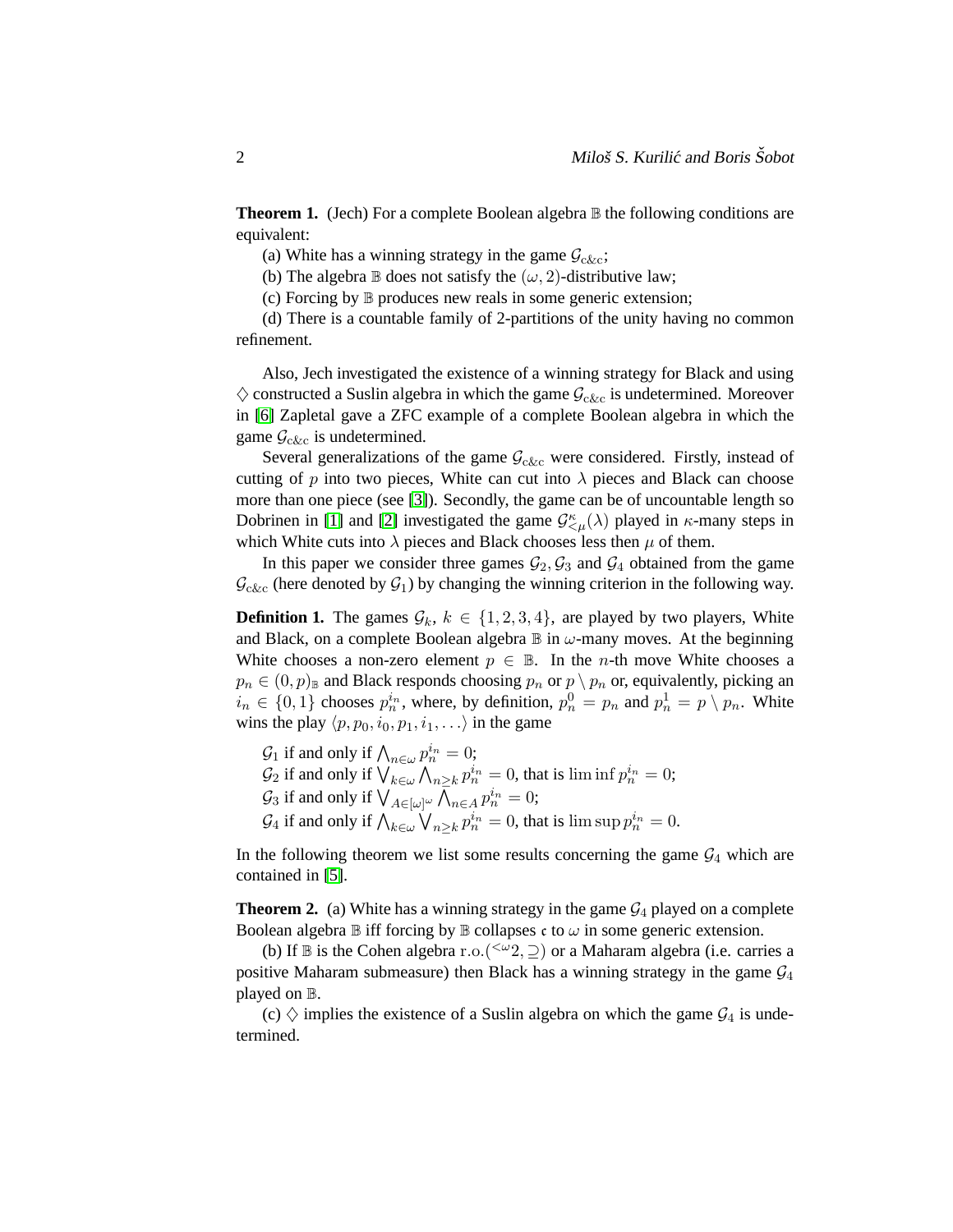**Theorem 1.** (Jech) For a complete Boolean algebra **B** the following conditions are equivalent:

(a) White has a winning strategy in the game  $\mathcal{G}_{c\&c}$ ;

(b) The algebra  $\mathbb B$  does not satisfy the  $(\omega, 2)$ -distributive law;

(c) Forcing by B produces new reals in some generic extension;

(d) There is a countable family of 2-partitions of the unity having no common refinement.

Also, Jech investigated the existence of a winning strategy for Black and using  $\diamondsuit$  constructed a Suslin algebra in which the game  $\mathcal{G}_{c\&c}$  is undetermined. Moreover in [\[6\]](#page-9-1) Zapletal gave a ZFC example of a complete Boolean algebra in which the game  $\mathcal{G}_{c\&c}$  is undetermined.

Several generalizations of the game  $\mathcal{G}_{c\&c}$  were considered. Firstly, instead of cutting of p into two pieces, White can cut into  $\lambda$  pieces and Black can choose more than one piece (see [\[3\]](#page-9-0)). Secondly, the game can be of uncountable length so Dobrinen in [\[1\]](#page-9-2) and [\[2\]](#page-9-3) investigated the game  $\mathcal{G}^{\kappa}_{\leq \mu}(\lambda)$  played in  $\kappa$ -many steps in which White cuts into  $\lambda$  pieces and Black chooses less then  $\mu$  of them.

<span id="page-1-0"></span>In this paper we consider three games  $\mathcal{G}_2$ ,  $\mathcal{G}_3$  and  $\mathcal{G}_4$  obtained from the game  $\mathcal{G}_{c\&c}$  (here denoted by  $\mathcal{G}_1$ ) by changing the winning criterion in the following way.

**Definition 1.** The games  $\mathcal{G}_k$ ,  $k \in \{1, 2, 3, 4\}$ , are played by two players, White and Black, on a complete Boolean algebra  $\mathbb B$  in  $\omega$ -many moves. At the beginning White chooses a non-zero element  $p \in \mathbb{B}$ . In the *n*-th move White chooses a  $p_n \in (0, p)$ <sub>B</sub> and Black responds choosing  $p_n$  or  $p \setminus p_n$  or, equivalently, picking an  $i_n \in \{0,1\}$  chooses  $p_n^{i_n}$ , where, by definition,  $p_n^0 = p_n$  and  $p_n^1 = p \setminus p_n$ . White wins the play  $\langle p, p_0, i_0, p_1, i_1, \ldots \rangle$  in the game

 $\mathcal{G}_1$  if and only if  $\bigwedge_{n\in\omega}p_n^{i_n}=0$ ;  $n\in\omega$  $\mathcal{G}_2$  if and only if  $\bigvee_{k \in \omega} \bigwedge_{n \geq k} p_n^{i_n} = 0$ , that is  $\liminf p_n^{i_n} = 0$ ;  $\mathcal{G}_3$  if and only if  $\bigvee_{A \in [\omega]^\omega} \bar{\bigwedge}_{n \in A} p_n^{i_n} = 0;$  $\mathcal{G}_4$  if and only if  $\bigwedge_{k\in\omega}\bigvee_{n\geq k}p_n^{i_n}=0$ , that is  $\limsup p_n^{i_n}=0$ .

<span id="page-1-1"></span>In the following theorem we list some results concerning the game  $G_4$  which are contained in [\[5\]](#page-9-4).

**Theorem 2.** (a) White has a winning strategy in the game  $\mathcal{G}_4$  played on a complete Boolean algebra  $\mathbb B$  iff forcing by  $\mathbb B$  collapses c to  $\omega$  in some generic extension.

(b) If  $\mathbb B$  is the Cohen algebra r.o. ( $\leq \omega_2$ ,  $\supseteq$ ) or a Maharam algebra (i.e. carries a positive Maharam submeasure) then Black has a winning strategy in the game  $\mathcal{G}_4$ played on B.

(c)  $\diamondsuit$  implies the existence of a Suslin algebra on which the game  $\mathcal{G}_4$  is undetermined.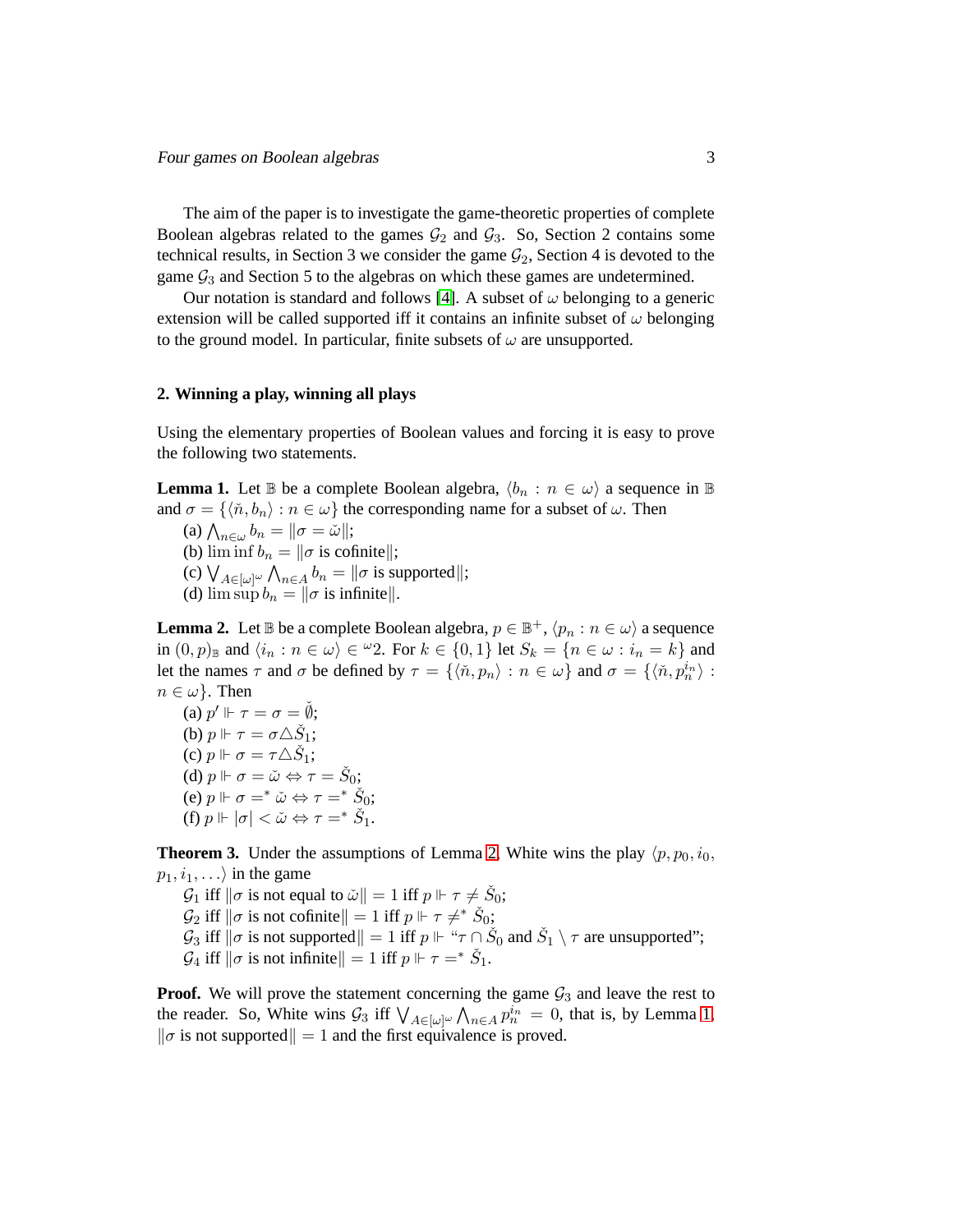The aim of the paper is to investigate the game-theoretic properties of complete Boolean algebras related to the games  $G_2$  and  $G_3$ . So, Section 2 contains some technical results, in Section 3 we consider the game  $G_2$ , Section 4 is devoted to the game  $\mathcal{G}_3$  and Section 5 to the algebras on which these games are undetermined.

Our notation is standard and follows [\[4\]](#page-9-5). A subset of  $\omega$  belonging to a generic extension will be called supported iff it contains an infinite subset of  $\omega$  belonging to the ground model. In particular, finite subsets of  $\omega$  are unsupported.

# **2. Winning a play, winning all plays**

<span id="page-2-1"></span>Using the elementary properties of Boolean values and forcing it is easy to prove the following two statements.

**Lemma 1.** Let B be a complete Boolean algebra,  $\langle b_n : n \in \omega \rangle$  a sequence in B and  $\sigma = \{\langle \tilde{n}, b_n \rangle : n \in \omega \}$  the corresponding name for a subset of  $\omega$ . Then

(a)  $\bigwedge_{n\in\omega}b_n=\|\sigma=\check{\omega}\|;$ (b)  $\liminf b_n = ||\sigma$  is cofinite||; (c)  $\bigvee_{A \in [\omega]^{\omega}} \bigwedge_{n \in A} b_n = ||\sigma$  is supported||; (d)  $\limsup b_n = ||\sigma$  is infinitel.

<span id="page-2-0"></span>**Lemma 2.** Let  $\mathbb B$  be a complete Boolean algebra,  $p \in \mathbb B^+ , \langle p_n : n \in \omega \rangle$  a sequence in  $(0, p)_{\mathbb{B}}$  and  $\langle i_n : n \in \omega \rangle \in {}^{\omega}2$ . For  $k \in \{0, 1\}$  let  $S_k = \{n \in \omega : i_n = k\}$  and let the names  $\tau$  and  $\sigma$  be defined by  $\tau = \{ \langle \tilde{n}, p_n \rangle : n \in \omega \}$  and  $\sigma = \{ \langle \tilde{n}, p_n^{i_n} \rangle :$  $n \in \omega$ . Then

(a)  $p' \Vdash \tau = \sigma = \check{\emptyset};$ (b)  $p \Vdash \tau = \sigma \triangle \check{S}_1;$ (c)  $p \Vdash \sigma = \tau \triangle \check{S}_1;$ (d)  $p \Vdash \sigma = \check{\omega} \Leftrightarrow \tau = \check{S}_0;$ (e)  $p \Vdash \sigma =^* \check{\omega} \Leftrightarrow \tau =^* \check{S}_0;$ (f)  $p \Vdash |\sigma| < \check{\omega} \Leftrightarrow \tau =^* \check{S}_1.$ 

<span id="page-2-2"></span>**Theorem 3.** Under the assumptions of Lemma [2,](#page-2-0) White wins the play  $\langle p, p_0, i_0, \rangle$  $p_1, i_1, \ldots$  in the game

 $\mathcal{G}_1$  iff  $\|\sigma$  is not equal to  $\check{\omega}\| = 1$  iff  $p \Vdash \tau \neq \check{S}_0$ ;  $\mathcal{G}_2$  iff  $\|\sigma$  is not cofinite  $\|=1$  iff  $p \Vdash \tau \neq^* \check{S}_0$ ;  $\mathcal{G}_3$  iff  $\|\sigma$  is not supported $\|= 1$  iff  $p \Vdash \text{``}\tau \cap \check{S}_0$  and  $\check{S}_1 \setminus \tau$  are unsupported";  $\mathcal{G}_4$  iff  $\|\sigma \text{ is not infinite}\| = 1$  iff  $p \Vdash \tau =^* \check{S}_1$ .

**Proof.** We will prove the statement concerning the game  $\mathcal{G}_3$  and leave the rest to the reader. So, White wins  $\mathcal{G}_3$  iff  $\bigvee_{A \in [\omega]^{\omega}} \bigwedge_{n \in A} p_n^{i_n} = 0$ , that is, by Lemma [1,](#page-2-1)  $\|\sigma\|$  is not supported  $\|= 1$  and the first equivalence is proved.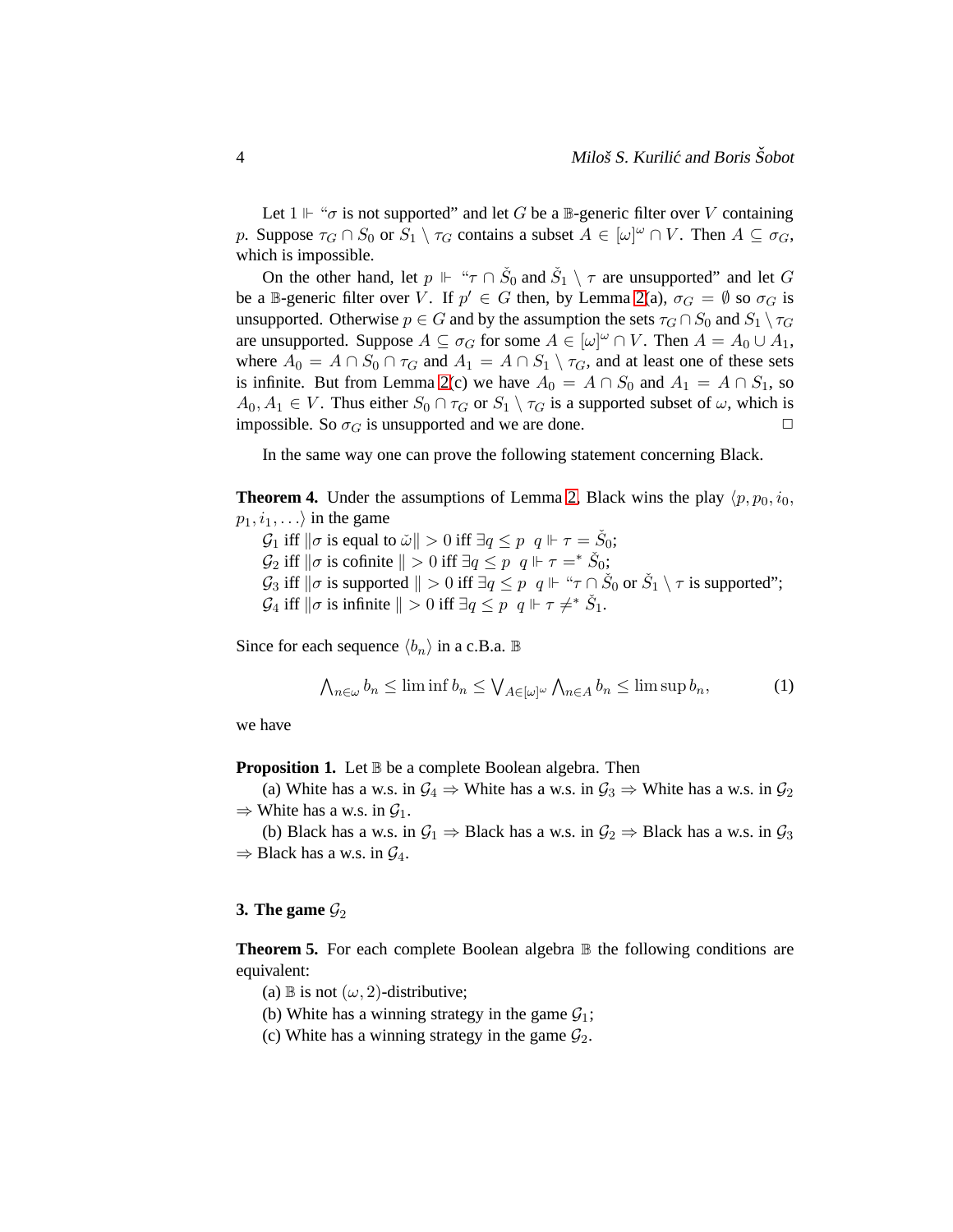Let  $1 \Vdash " \sigma$  is not supported" and let G be a B-generic filter over V containing p. Suppose  $\tau_G \cap S_0$  or  $S_1 \setminus \tau_G$  contains a subset  $A \in [\omega]^\omega \cap V$ . Then  $A \subseteq \sigma_G$ , which is impossible.

On the other hand, let  $p \Vdash " \tau \cap \check{S}_0$  and  $\check{S}_1 \setminus \tau$  are unsupported" and let G be a B-generic filter over V. If  $p' \in G$  then, by Lemma [2\(](#page-2-0)a),  $\sigma_G = \emptyset$  so  $\sigma_G$  is unsupported. Otherwise  $p \in G$  and by the assumption the sets  $\tau_G \cap S_0$  and  $S_1 \setminus \tau_G$ are unsupported. Suppose  $A \subseteq \sigma_G$  for some  $A \in [\omega]^\omega \cap V$ . Then  $A = A_0 \cup A_1$ , where  $A_0 = A \cap S_0 \cap \tau_G$  and  $A_1 = A \cap S_1 \setminus \tau_G$ , and at least one of these sets is infinite. But from Lemma [2\(](#page-2-0)c) we have  $A_0 = A \cap S_0$  and  $A_1 = A \cap S_1$ , so  $A_0, A_1 \in V$ . Thus either  $S_0 \cap \tau_G$  or  $S_1 \setminus \tau_G$  is a supported subset of  $\omega$ , which is impossible. So  $\sigma_G$  is unsupported and we are done.

<span id="page-3-1"></span>In the same way one can prove the following statement concerning Black.

**Theorem 4.** Under the assumptions of Lemma [2,](#page-2-0) Black wins the play  $\langle p, p_0, i_0, j_0 \rangle$  $p_1, i_1, \ldots$  in the game

- $\mathcal{G}_1$  iff  $\|\sigma$  is equal to  $\check{\omega}\| > 0$  iff  $\exists q \leq p \, q \Vdash \tau = \check{S}_0;$
- $\mathcal{G}_2$  iff  $\|\sigma$  is cofinite  $\| > 0$  iff  $\exists q \leq p \, q \Vdash \tau =^* \check{S}_0;$
- $\mathcal{G}_3$  iff  $\|\sigma$  is supported  $\| > 0$  iff  $\exists q \leq p \, q \Vdash \text{``}\tau \cap \check{S}_0$  or  $\check{S}_1 \setminus \tau$  is supported";
- $\mathcal{G}_4$  iff  $\|\sigma$  is infinite  $\| > 0$  iff  $\exists q \leq p \;\; q \Vdash \tau \neq^* \check{S}_1$ .

Since for each sequence  $\langle b_n \rangle$  in a c.B.a. B

$$
\bigwedge_{n\in\omega}b_n\leq \liminf b_n\leq \bigvee_{A\in[\omega]^\omega}\bigwedge_{n\in A}b_n\leq \limsup b_n,\tag{1}
$$

<span id="page-3-0"></span>we have

**Proposition 1.** Let  $\mathbb B$  be a complete Boolean algebra. Then

(a) White has a w.s. in  $\mathcal{G}_4 \Rightarrow$  White has a w.s. in  $\mathcal{G}_3 \Rightarrow$  White has a w.s. in  $\mathcal{G}_2$  $\Rightarrow$  White has a w.s. in  $\mathcal{G}_1$ .

(b) Black has a w.s. in  $\mathcal{G}_1 \Rightarrow$  Black has a w.s. in  $\mathcal{G}_2 \Rightarrow$  Black has a w.s. in  $\mathcal{G}_3$  $\Rightarrow$  Black has a w.s. in  $\mathcal{G}_4$ .

### <span id="page-3-2"></span>**3. The game**  $\mathcal{G}_2$

**Theorem 5.** For each complete Boolean algebra  $\mathbb B$  the following conditions are equivalent:

(a) B is not  $(\omega, 2)$ -distributive;

- (b) White has a winning strategy in the game  $G_1$ ;
- (c) White has a winning strategy in the game  $\mathcal{G}_2$ .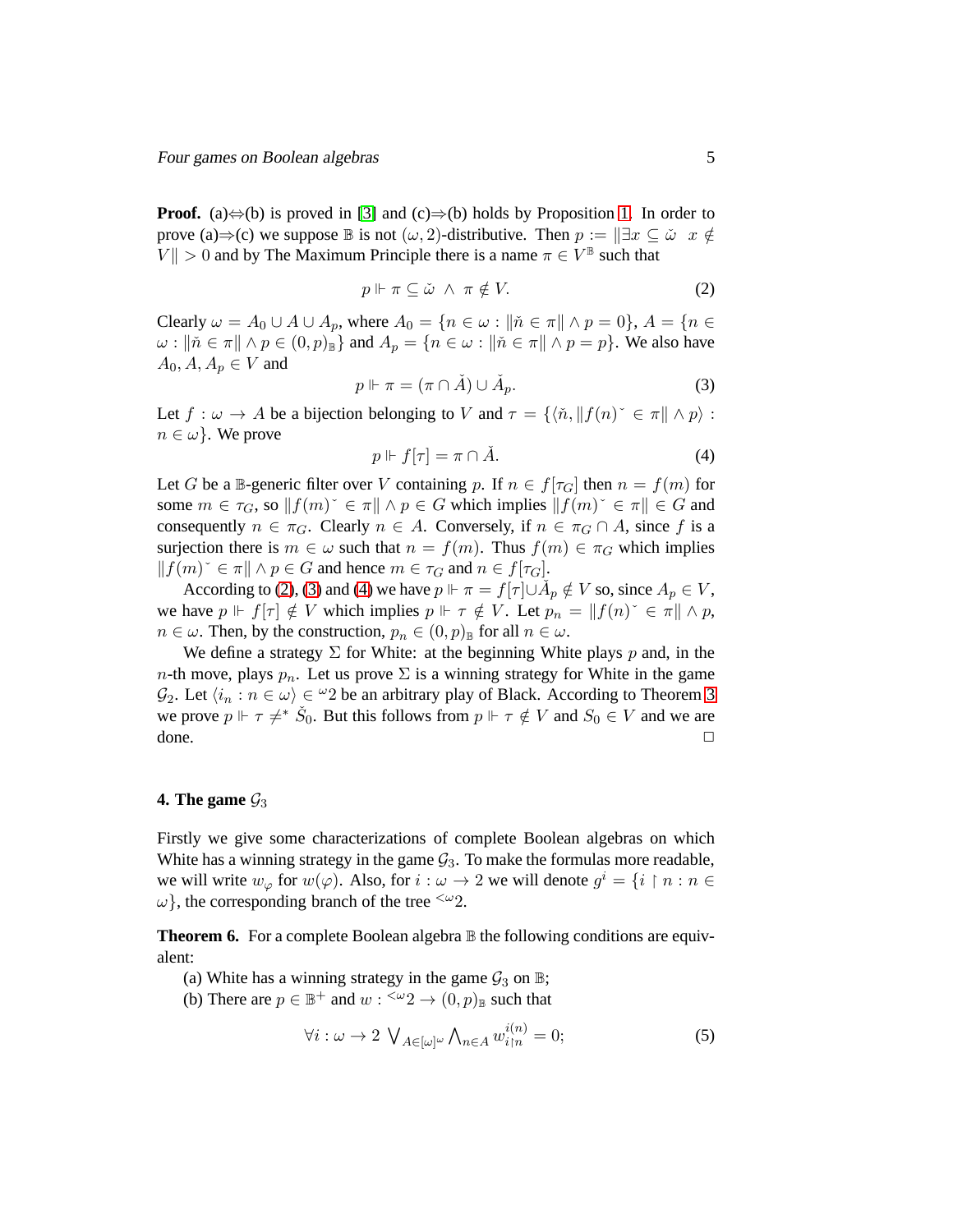**Proof.** (a) $\Leftrightarrow$ (b) is proved in [\[3\]](#page-9-0) and (c) $\Rightarrow$ (b) holds by Proposition [1.](#page-3-0) In order to prove (a)⇒(c) we suppose  $\mathbb B$  is not  $(\omega, 2)$ -distributive. Then  $p := \mathbb E x \subseteq \tilde{\omega}$  x  $\notin$  $\|V\| > 0$  and by The Maximum Principle there is a name  $\pi \in V^{\mathbb{B}}$  such that

<span id="page-4-0"></span>
$$
p \Vdash \pi \subseteq \check{\omega} \ \land \ \pi \notin V. \tag{2}
$$

Clearly  $\omega = A_0 \cup A \cup A_p$ , where  $A_0 = \{n \in \omega : \|\tilde{n} \in \pi\| \wedge p = 0\}$ ,  $A = \{n \in \mathbb{R} \mid \omega \in A_p\}$  $\omega : \|\tilde{n} \in \pi\| \wedge p \in (0, p)_{\mathbb{B}}\}$  and  $A_p = \{n \in \omega : \|\tilde{n} \in \pi\| \wedge p = p\}$ . We also have  $A_0, A, A_p \in V$  and

<span id="page-4-1"></span>
$$
p \Vdash \pi = (\pi \cap \check{A}) \cup \check{A}_p. \tag{3}
$$

Let  $f : \omega \to A$  be a bijection belonging to V and  $\tau = \{ \langle \tilde{n}, || f(n) \rangle \in \pi || \wedge p \rangle :$  $n \in \omega$ . We prove

<span id="page-4-2"></span>
$$
p \Vdash f[\tau] = \pi \cap \check{A}.\tag{4}
$$

Let G be a B-generic filter over V containing p. If  $n \in f[\tau_G]$  then  $n = f(m)$  for some  $m \in \tau_G$ , so  $||f(m)^{\sim} \in \pi|| \wedge p \in G$  which implies  $||f(m)^{\sim} \in \pi|| \in G$  and consequently  $n \in \pi_G$ . Clearly  $n \in A$ . Conversely, if  $n \in \pi_G \cap A$ , since f is a surjection there is  $m \in \omega$  such that  $n = f(m)$ . Thus  $f(m) \in \pi_G$  which implies  $||f(m)^{\sim} \in \pi|| \wedge p \in G$  and hence  $m \in \tau_G$  and  $n \in f[\tau_G]$ .

According to [\(2\)](#page-4-0), [\(3\)](#page-4-1) and [\(4\)](#page-4-2) we have  $p \Vdash \pi = f[\tau] \cup \tilde{A}_p \notin V$  so, since  $A_p \in V$ , we have  $p \Vdash f[\tau] \notin V$  which implies  $p \Vdash \tau \notin V$ . Let  $p_n = ||f(n)^* \in \pi|| \wedge p$ ,  $n \in \omega$ . Then, by the construction,  $p_n \in (0, p)$ <sub>B</sub> for all  $n \in \omega$ .

We define a strategy  $\Sigma$  for White: at the beginning White plays p and, in the n-th move, plays  $p_n$ . Let us prove  $\Sigma$  is a winning strategy for White in the game  $\mathcal{G}_2$ . Let  $\langle i_n : n \in \omega \rangle \in \mathcal{Q}_2$  be an arbitrary play of Black. According to Theorem [3](#page-2-2) we prove  $p \Vdash \tau \neq^* \check{S}_0$ . But this follows from  $p \Vdash \tau \notin V$  and  $S_0 \in V$  and we are done. <del>□</del>

#### **4. The game**  $\mathcal{G}_3$

Firstly we give some characterizations of complete Boolean algebras on which White has a winning strategy in the game  $G_3$ . To make the formulas more readable, we will write  $w_{\varphi}$  for  $w(\varphi)$ . Also, for  $i : \omega \to 2$  we will denote  $g^i = \{i \restriction n : n \in \mathbb{N}\}$  $\omega$ , the corresponding branch of the tree  $\omega_2$ .

**Theorem 6.** For a complete Boolean algebra  $\mathbb{B}$  the following conditions are equivalent:

- (a) White has a winning strategy in the game  $\mathcal{G}_3$  on  $\mathbb{B}$ ;
- (b) There are  $p \in \mathbb{B}^+$  and  $w: \langle x \rangle^2 \to (0,p)_{\mathbb{B}}$  such that

<span id="page-4-3"></span>
$$
\forall i: \omega \to 2 \ \bigvee_{A \in [\omega]^\omega} \bigwedge_{n \in A} w_{i \upharpoonright n}^{i(n)} = 0; \tag{5}
$$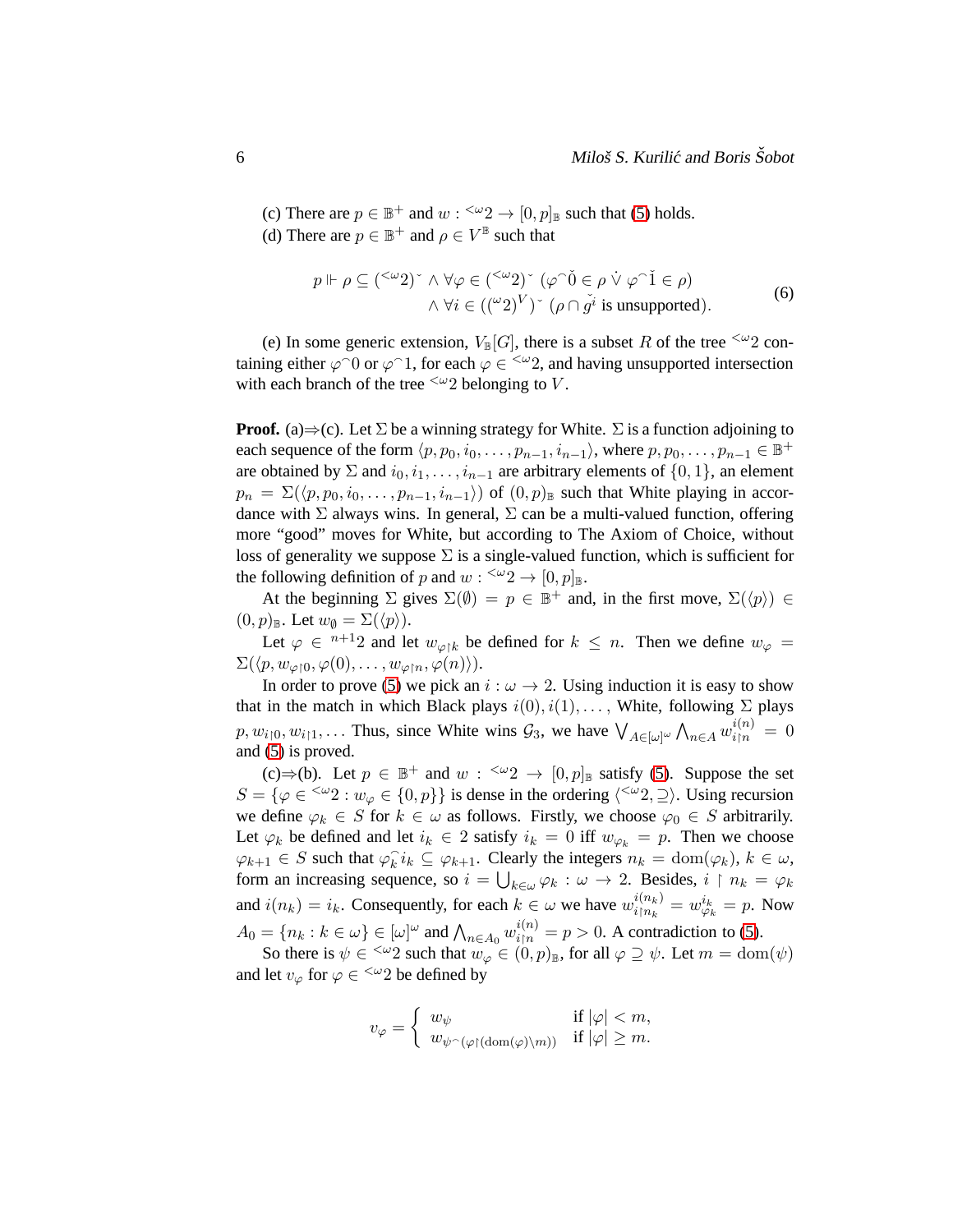(c) There are  $p \in \mathbb{B}^+$  and  $w : \langle x \rangle 2 \to [0, p]_{\mathbb{B}}$  such that [\(5\)](#page-4-3) holds. (d) There are  $p \in \mathbb{B}^+$  and  $\rho \in V^{\mathbb{B}}$  such that

<span id="page-5-0"></span>
$$
p \Vdash \rho \subseteq (\leq \omega_2)^{\sim} \land \forall \varphi \in (\leq \omega_2)^{\sim} (\varphi \cap \check{0} \in \rho \lor \varphi \cap \check{1} \in \rho)
$$
  
 
$$
\land \forall i \in ((\omega_2)^V)^{\sim} (\rho \cap \check{g}^i \text{ is unsupported}).
$$
 (6)

(e) In some generic extension,  $V_{\mathbb{B}}[G]$ , there is a subset R of the tree  $\leq \omega_2$  containing either  $\varphi$ <sup>{1}</sup> or  $\varphi$ <sup>{-1}</sup>, for each  $\varphi \in \frac{1}{2}$  and having unsupported intersection with each branch of the tree  $\leq \omega_2$  belonging to V.

**Proof.** (a) $\Rightarrow$  (c). Let  $\Sigma$  be a winning strategy for White.  $\Sigma$  is a function adjoining to each sequence of the form  $\langle p, p_0, i_0, \ldots, p_{n-1}, i_{n-1}\rangle$ , where  $p, p_0, \ldots, p_{n-1} \in \mathbb{B}^+$ are obtained by  $\Sigma$  and  $i_0, i_1, \ldots, i_{n-1}$  are arbitrary elements of  $\{0, 1\}$ , an element  $p_n = \Sigma(\langle p, p_0, i_0, \ldots, p_{n-1}, i_{n-1} \rangle)$  of  $(0, p)_\mathbb{B}$  such that White playing in accordance with  $\Sigma$  always wins. In general,  $\Sigma$  can be a multi-valued function, offering more "good" moves for White, but according to The Axiom of Choice, without loss of generality we suppose  $\Sigma$  is a single-valued function, which is sufficient for the following definition of p and  $w: \langle x \rangle 2 \to [0,p]_{\mathbb{B}}$ .

At the beginning  $\Sigma$  gives  $\Sigma(\emptyset) = p \in \mathbb{B}^+$  and, in the first move,  $\Sigma(\langle p \rangle) \in$  $(0, p)_{\mathbb{B}}$ . Let  $w_{\emptyset} = \Sigma({\langle p \rangle})$ .

Let  $\varphi \in {}^{n+1}2$  and let  $w_{\varphi\restriction k}$  be defined for  $k \leq n$ . Then we define  $w_{\varphi} =$  $\Sigma(\langle p, w_{\varphi \restriction 0}, \varphi(0), \ldots, w_{\varphi \restriction n}, \varphi(n) \rangle).$ 

In order to prove [\(5\)](#page-4-3) we pick an  $i : \omega \rightarrow 2$ . Using induction it is easy to show that in the match in which Black plays  $i(0), i(1), \ldots$ , White, following  $\Sigma$  plays  $p, w_{i\upharpoonright 0}, w_{i\upharpoonright 1}, \ldots$  Thus, since White wins  $\mathcal{G}_3$ , we have  $\bigvee_{A \in [\omega]^\omega} \bigwedge_{n \in A} w_{i\upharpoonright n}^{i(n)} = 0$ and [\(5\)](#page-4-3) is proved.

(c)⇒(b). Let  $p \in \mathbb{B}^+$  and  $w : \leq^{\omega} 2 \to [0,p]_{\mathbb{B}}$  satisfy [\(5\)](#page-4-3). Suppose the set  $S = \{ \varphi \in \langle \omega_2 : w_\varphi \in \{0, p\} \}$  is dense in the ordering  $\langle \langle \omega_2, \varphi \rangle$ . Using recursion we define  $\varphi_k \in S$  for  $k \in \omega$  as follows. Firstly, we choose  $\varphi_0 \in S$  arbitrarily. Let  $\varphi_k$  be defined and let  $i_k \in 2$  satisfy  $i_k = 0$  iff  $w_{\varphi_k} = p$ . Then we choose  $\varphi_{k+1} \in S$  such that  $\varphi_k^i i_k \subseteq \varphi_{k+1}$ . Clearly the integers  $n_k = \text{dom}(\varphi_k)$ ,  $k \in \omega$ , form an increasing sequence, so  $i = \bigcup_{k \in \omega} \varphi_k : \omega \to 2$ . Besides,  $i \restriction n_k = \varphi_k$ and  $i(n_k) = i_k$ . Consequently, for each  $k \in \omega$  we have  $w_{i \upharpoonright n_k}^{i(n_k)}$  $\frac{i(n_k)}{i\upharpoonright n_k} = w_{\varphi_k}^{i_k} = p$ . Now  $A_0 = \{n_k : k \in \omega\} \in [\omega]^\omega$  and  $\bigwedge_{n \in A_0} w_{i \upharpoonright n}^{i(n)} = p > 0$ . A contradiction to [\(5\)](#page-4-3).

So there is  $\psi \in \langle \omega_2 \rangle$  such that  $w_{\varphi} \in (0, p)_{\mathbb{B}}$ , for all  $\varphi \supseteq \psi$ . Let  $m = \text{dom}(\psi)$ and let  $v_{\varphi}$  for  $\varphi \in \frac{1}{2}$  be defined by

$$
v_{\varphi} = \begin{cases} w_{\psi} & \text{if } |\varphi| < m, \\ w_{\psi \cap (\varphi \restriction (\text{dom}(\varphi) \setminus m))} & \text{if } |\varphi| \geq m. \end{cases}
$$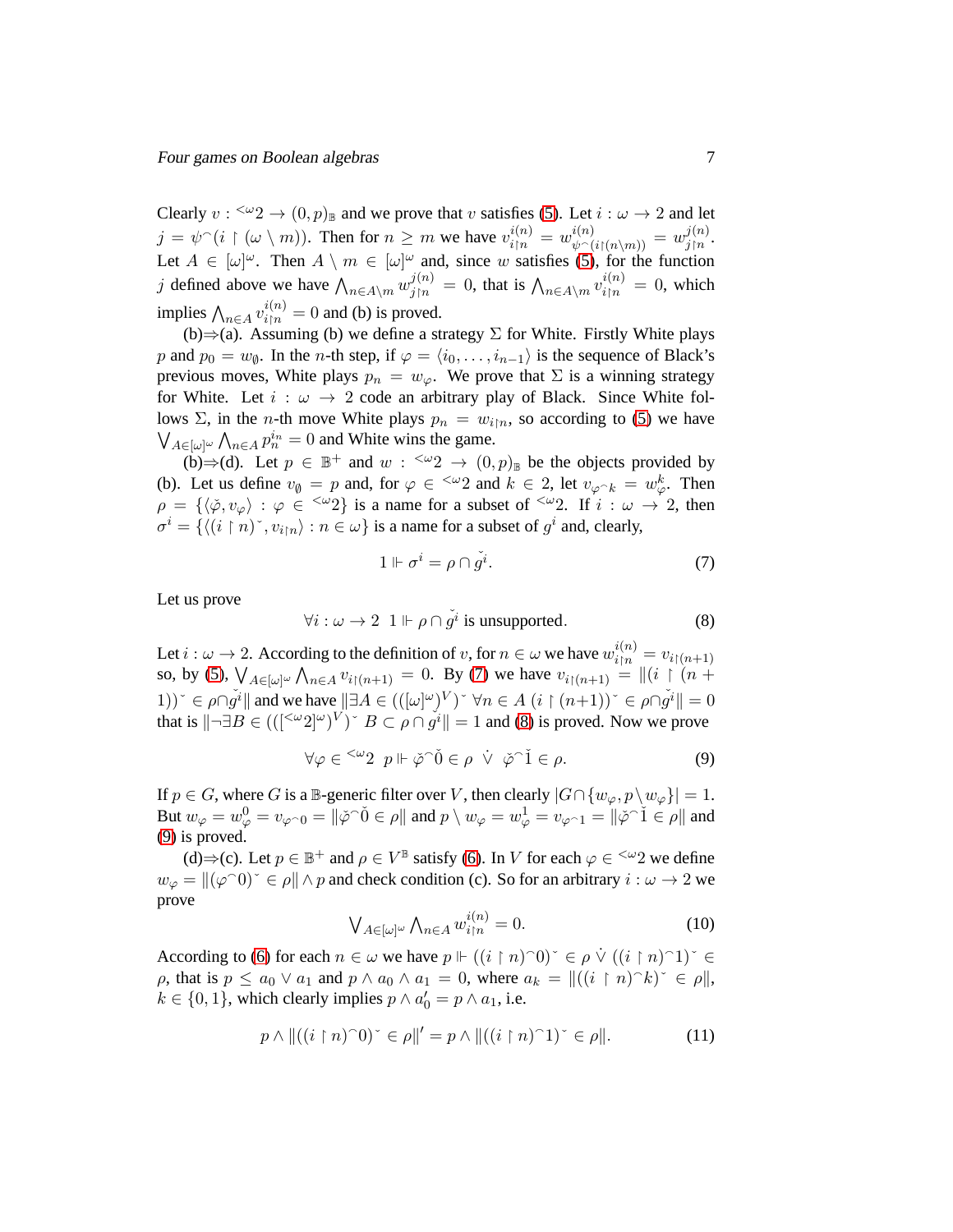Clearly  $v: \langle \omega_2 \rangle \to (0,p)_{\mathbb{B}}$  and we prove that v satisfies [\(5\)](#page-4-3). Let  $i : \omega \to 2$  and let  $j = \psi^{\frown}(i \restriction (\omega \setminus m))$ . Then for  $n \geq m$  we have  $v_{i \uparrow n}^{i(n)} = w_{\psi^{\frown}(i \restriction (n \setminus m))}^{i(n)} = w_{j \uparrow n}^{j(n)}$  $_{j\restriction n}^{\jmath(n)}.$ Let  $A \in [\omega]^\omega$ . Then  $A \setminus m \in [\omega]^\omega$  and, since w satisfies [\(5\)](#page-4-3), for the function j defined above we have  $\bigwedge_{n \in A\setminus m} w_{j|n}^{j(n)} = 0$ , that is  $\bigwedge_{n \in A\setminus m} v_{i|n}^{i(n)} = 0$ , which implies  $\bigwedge_{n \in A} v_{i \upharpoonright n}^{i(n)} = 0$  and (b) is proved.

(b) $\Rightarrow$ (a). Assuming (b) we define a strategy  $\Sigma$  for White. Firstly White plays p and  $p_0 = w_\emptyset$ . In the *n*-th step, if  $\varphi = \langle i_0, \ldots, i_{n-1} \rangle$  is the sequence of Black's previous moves, White plays  $p_n = w_\varphi$ . We prove that  $\Sigma$  is a winning strategy for White. Let  $i : \omega \rightarrow 2$  code an arbitrary play of Black. Since White follows Σ, in the *n*-th move White plays  $p_n = w_{i\upharpoonright n}$ , so according to [\(5\)](#page-4-3) we have  $\bigvee_{A \in [\omega]^{\omega}} \bigwedge_{n \in A} p_n^{i_n} = 0$  and White wins the game.

(b)⇒(d). Let  $p \in \mathbb{B}^+$  and  $w : \langle x \rangle^2 \to (0,p)_{\mathbb{B}}$  be the objects provided by (b). Let us define  $v_{\emptyset} = p$  and, for  $\varphi \in \langle \omega_2 \rangle$  and  $k \in \{2, \text{ let } v_{\varphi \cap k} = w_{\varphi}^k$ . Then  $\rho = {\{\langle \phi, v_{\varphi} \rangle : \varphi \in {}^{<\omega}2\}}$  is a name for a subset of  ${}^{<\omega}2$ . If  $i : \omega \to 2$ , then  $\sigma^i = \{ \langle (i \restriction n) \check{\ } , v_{i \restriction n} \rangle : n \in \omega \}$  is a name for a subset of  $g^i$  and, clearly,

<span id="page-6-0"></span>
$$
1 \Vdash \sigma^i = \rho \cap \check{g}^i. \tag{7}
$$

Let us prove

<span id="page-6-1"></span>
$$
\forall i: \omega \to 2 \quad 1 \Vdash \rho \cap \check{g}^i \text{ is unsupported.} \tag{8}
$$

Let  $i : \omega \to 2$ . According to the definition of  $v$ , for  $n \in \omega$  we have  $w_{i|n}^{i(n)} = v_{i|(n+1)}$ so, by [\(5\)](#page-4-3),  $\bigvee_{A \in [\omega]^{\omega}} \bigwedge_{n \in A} v_{i \restriction (n+1)} = 0$ . By [\(7\)](#page-6-0) we have  $v_{i \restriction (n+1)} = ||(i \restriction (n+1))||$ 1))<sup> $\leq \rho \cap g^i$ || and we have  $|\exists A \in (([\omega]^\omega)^V) \leq \forall n \in A$   $(i \restriction (n+1)) \leq \rho \cap g^i| = 0$ </sup> that is  $\|\neg \exists B \in (([\leq \omega 2] \omega)^V)$ <sup>r</sup>  $B \subset \rho \cap g^i \| = 1$  and [\(8\)](#page-6-1) is proved. Now we prove

<span id="page-6-2"></span>
$$
\forall \varphi \in {}^{<\omega}2 \ p \Vdash \check{\varphi}^{\hat{\ }0} \in \rho \ \dot{\vee} \ \check{\varphi}^{\hat{\ }1} \in \rho. \tag{9}
$$

If  $p \in G$ , where G is a B-generic filter over V, then clearly  $|G \cap \{w_{\varphi}, p \setminus w_{\varphi}\}| = 1$ . But  $w_{\varphi} = w_{\varphi}^0 = v_{\varphi \cap 0} = ||\check{\varphi} \hat{\;} 0 \in \rho||$  and  $p \setminus w_{\varphi} = w_{\varphi}^1 = v_{\varphi \cap 1} = ||\check{\varphi} \hat{\;} 1 \in \rho||$  and [\(9\)](#page-6-2) is proved.

(d) $\Rightarrow$  (c). Let  $p \in \mathbb{B}^+$  and  $\rho \in V^{\mathbb{B}}$  satisfy [\(6\)](#page-5-0). In V for each  $\varphi \in \langle \omega_2 \rangle$  we define  $w_{\varphi} = ||(\varphi \cap 0)^{|\varphi} \in \rho|| \wedge p$  and check condition (c). So for an arbitrary  $i : \omega \to 2$  we prove

<span id="page-6-4"></span>
$$
\bigvee_{A \in [\omega]^{\omega}} \bigwedge_{n \in A} w_{i|n}^{i(n)} = 0. \tag{10}
$$

According to [\(6\)](#page-5-0) for each  $n \in \omega$  we have  $p \Vdash ((i \upharpoonright n) \cap 0)^\times \in \rho \vee ((i \upharpoonright n) \cap 1)^\times \in$  $\rho$ , that is  $p \le a_0 \vee a_1$  and  $p \wedge a_0 \wedge a_1 = 0$ , where  $a_k = ||((i \upharpoonright n) \wedge k)$ <sup>\*</sup>  $\in \rho||$ ,  $k \in \{0, 1\}$ , which clearly implies  $p \wedge a'_0 = p \wedge a_1$ , i.e.

<span id="page-6-3"></span>
$$
p \wedge ||((i \upharpoonright n)^\frown 0)^\sim \in \rho||' = p \wedge ||((i \upharpoonright n)^\frown 1)^\sim \in \rho||. \tag{11}
$$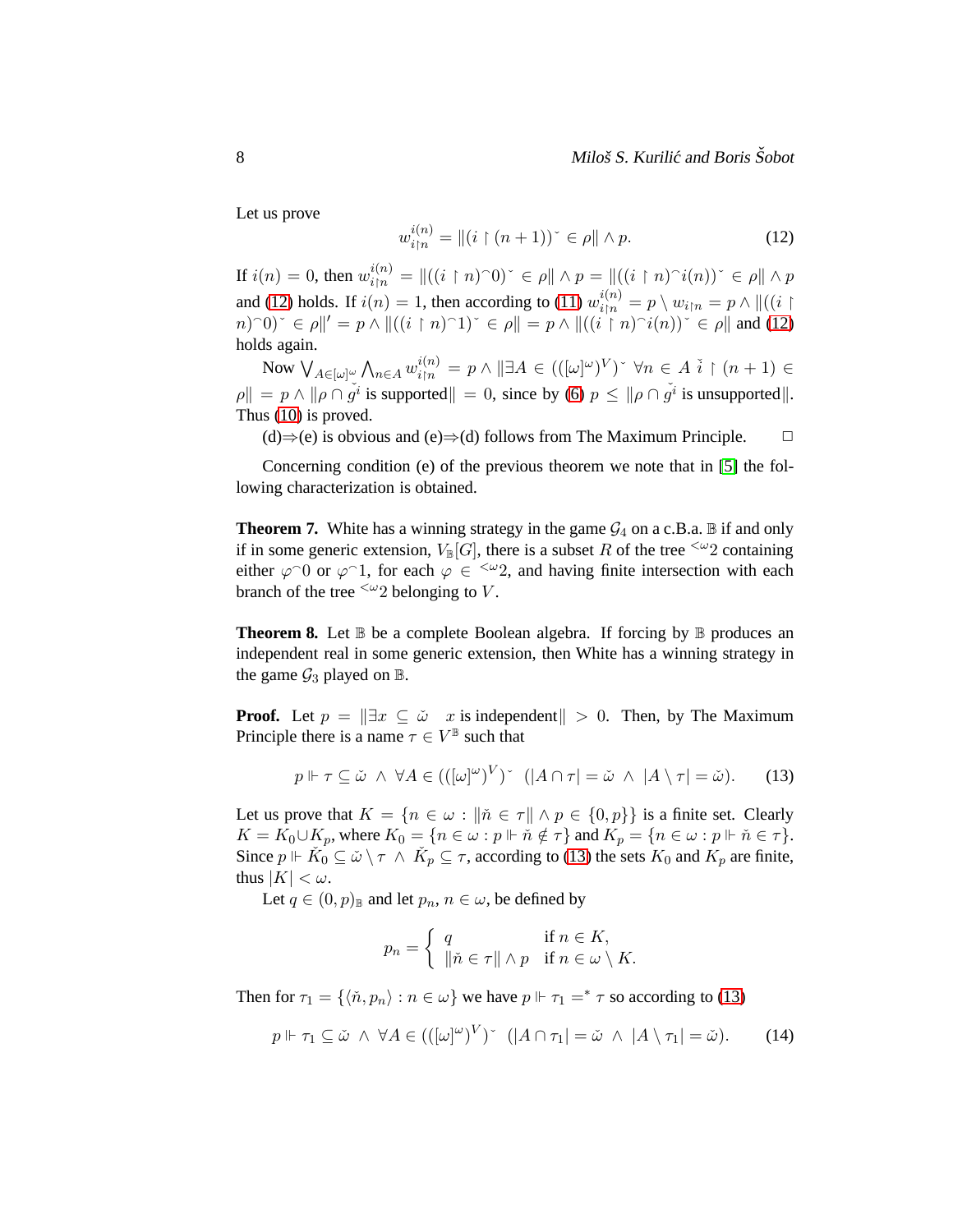Let us prove

<span id="page-7-0"></span>
$$
w_{i|n}^{i(n)} = || (i \upharpoonright (n+1))^\sim \in \rho || \wedge p. \tag{12}
$$

If  $i(n) = 0$ , then  $w_{i|n}^{i(n)} = ||((i \restriction n)^\frown 0)^\sim \in \rho|| \land p = ||((i \restriction n)^\frown i(n))^\sim \in \rho|| \land p$ and [\(12\)](#page-7-0) holds. If  $i(n) = 1$ , then according to [\(11\)](#page-6-3)  $w_{i|n}^{i(n)} = p \setminus w_{i|n} = p \wedge ||((i \upharpoonright$  $(n)$ <sup>o</sup> $(n)$ <sup>o</sup> $\in \rho$ ||' = p  $\wedge$  || $((i \upharpoonright n)$ <sup>o</sup> $1)$ <sup>o</sup> $\in \rho$ || = p  $\wedge$  || $((i \upharpoonright n)$ <sup>o</sup> $i(n)$  $\vee \in \rho$ || and [\(12\)](#page-7-0) holds again.

Now  $\bigvee_{A\in[\omega]^\omega}\bigwedge_{n\in A}w_{i\restriction n}^{i(n)}=p\wedge\|\exists A\in(([\omega]^\omega)^V)^{\scriptscriptstyle\sim}~\forall n\in A~\check{i}\restriction(n+1)\in$  $\rho \| = p \wedge \|\rho \cap \tilde{g}^i\|$  is supported  $\| = 0$ , since by [\(6\)](#page-5-0)  $p \leq \|\rho \cap \tilde{g}^i\|$  is unsupported  $\|$ . Thus [\(10\)](#page-6-4) is proved.

(d)⇒(e) is obvious and (e)⇒(d) follows from The Maximum Principle.  $\Box$ 

Concerning condition (e) of the previous theorem we note that in [\[5\]](#page-9-4) the following characterization is obtained.

**Theorem 7.** White has a winning strategy in the game  $G_4$  on a c.B.a.  $\mathbb B$  if and only if in some generic extension,  $V_{\mathbb{B}}[G]$ , there is a subset R of the tree  $\leq \omega_2$  containing either  $\varphi$  or  $\varphi$  1, for each  $\varphi \in \langle \varphi_2 \rangle$  and having finite intersection with each branch of the tree  $\leq \omega_2$  belonging to V.

<span id="page-7-3"></span>**Theorem 8.** Let  $\mathbb B$  be a complete Boolean algebra. If forcing by  $\mathbb B$  produces an independent real in some generic extension, then White has a winning strategy in the game  $\mathcal{G}_3$  played on  $\mathbb{B}$ .

**Proof.** Let  $p = ||\exists x \subseteq \check{\omega} \quad x$  is independent  $|| > 0$ . Then, by The Maximum Principle there is a name  $\tau \in V^{\mathbb{B}}$  such that

<span id="page-7-1"></span>
$$
p \Vdash \tau \subseteq \check{\omega} \ \land \ \forall A \in (([\omega]^{\omega})^V)^{\sim} \ ([A \cap \tau] = \check{\omega} \ \land \ |A \setminus \tau| = \check{\omega}). \tag{13}
$$

Let us prove that  $K = \{n \in \omega : \|\tilde{n} \in \tau\| \land p \in \{0, p\}\}\$ is a finite set. Clearly  $K = K_0 \cup K_p$ , where  $K_0 = \{ n \in \omega : p \Vdash \check{n} \notin \tau \}$  and  $K_p = \{ n \in \omega : p \Vdash \check{n} \in \tau \}.$ Since  $p \Vdash \check{K}_0 \subseteq \check{\omega} \setminus \tau \wedge \check{K}_p \subseteq \tau$ , according to [\(13\)](#page-7-1) the sets  $K_0$  and  $K_p$  are finite, thus  $|K| < \omega$ .

Let  $q \in (0, p)_{\mathbb{B}}$  and let  $p_n, n \in \omega$ , be defined by

$$
p_n = \begin{cases} q & \text{if } n \in K, \\ \|\check{n} \in \tau\| \wedge p & \text{if } n \in \omega \setminus K. \end{cases}
$$

Then for  $\tau_1 = \{ \langle \tilde{n}, p_n \rangle : n \in \omega \}$  we have  $p \Vdash \tau_1 =^* \tau$  so according to [\(13\)](#page-7-1)

<span id="page-7-2"></span>
$$
p \Vdash \tau_1 \subseteq \check{\omega} \ \land \ \forall A \in (([\omega]^\omega)^V) \ \ (|A \cap \tau_1| = \check{\omega} \ \land \ |A \setminus \tau_1| = \check{\omega}). \tag{14}
$$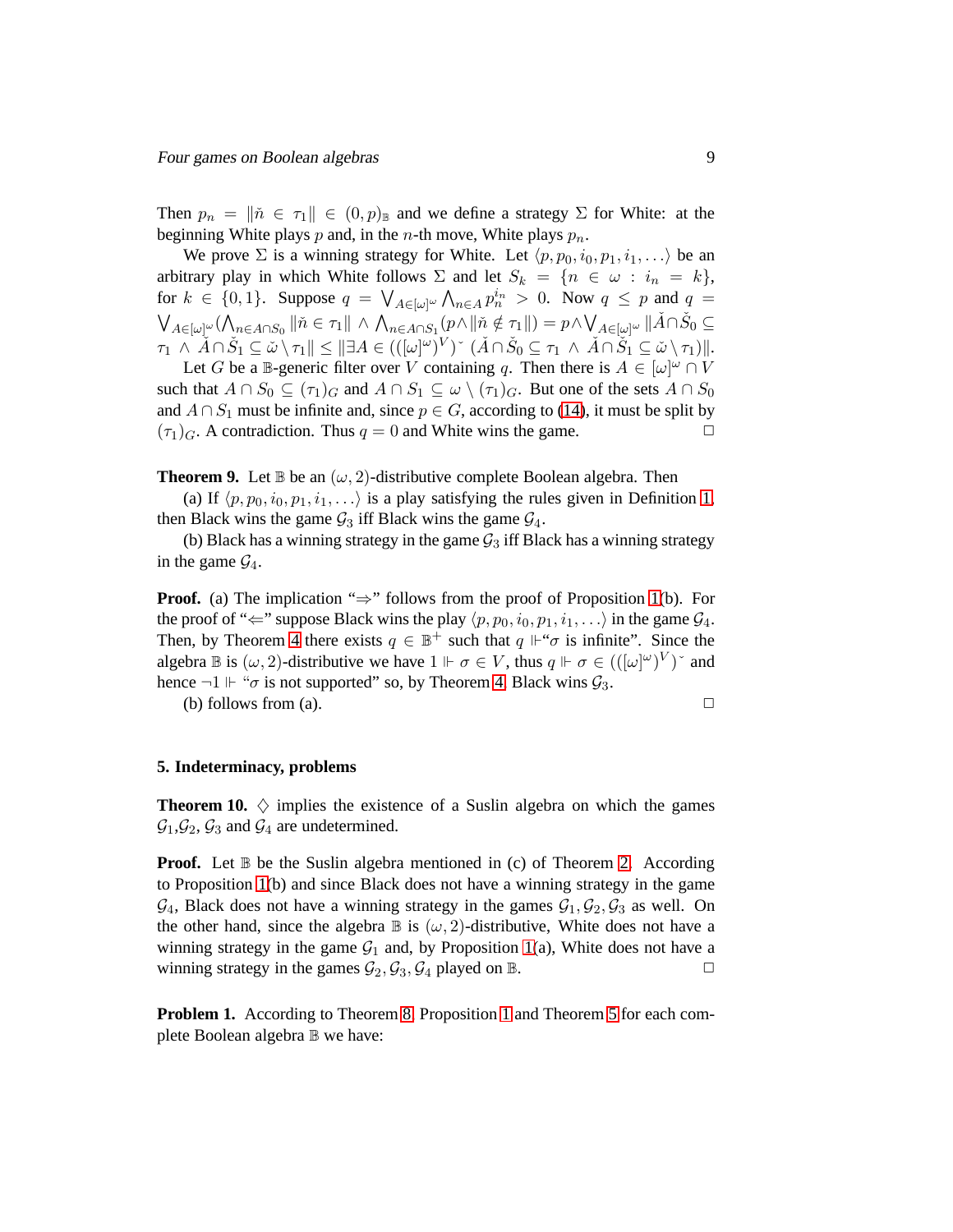Then  $p_n = ||\tilde{n} \in \tau_1|| \in (0, p)_{\mathbb{B}}$  and we define a strategy  $\Sigma$  for White: at the beginning White plays p and, in the n-th move, White plays  $p_n$ .

We prove  $\Sigma$  is a winning strategy for White. Let  $\langle p, p_0, i_0, p_1, i_1, \ldots \rangle$  be an arbitrary play in which White follows  $\Sigma$  and let  $S_k = \{n \in \omega : i_n = k\},$ for  $k \in \{0, 1\}$ . Suppose  $q = \bigvee_{A \in [\omega]^{\omega}} \bigwedge_{n \in A} p_n^{i_n} > 0$ . Now  $q \leq p$  and  $q =$  $\bigvee_{A\in[\omega]^{\omega}}(\bigwedge_{n\in A\cap S_0}\|\check{n}\in\tau_1\|\wedge\bigwedge_{n\in A\cap S_1}(p\wedge\|\check{n}\notin\tau_1\|)=p\wedge\bigvee_{A\in[\omega]^{\omega}}\|\check{A}\cap\check{S}_0\subseteq$  $\tau_1 \wedge \tilde{A} \cap \check{S}_1 \subseteq \check{\omega} \setminus \tau_1 \Vert \leq \Vert \exists A \in (([\omega]^\omega)^V) \check{\;} (\check{A} \cap \check{S}_0 \subseteq \tau_1 \wedge \check{A} \cap \check{S}_1 \subseteq \check{\omega} \setminus \tau_1) \Vert.$ 

Let G be a B-generic filter over V containing q. Then there is  $A \in [\omega]^\omega \cap V$ such that  $A \cap S_0 \subseteq (\tau_1)_G$  and  $A \cap S_1 \subseteq \omega \setminus (\tau_1)_G$ . But one of the sets  $A \cap S_0$ and  $A \cap S_1$  must be infinite and, since  $p \in G$ , according to [\(14\)](#page-7-2), it must be split by  $(\tau_1)_G$ . A contradiction. Thus  $q = 0$  and White wins the game.

**Theorem 9.** Let  $\mathbb B$  be an  $(\omega, 2)$ -distributive complete Boolean algebra. Then

(a) If  $\langle p, p_0, i_0, p_1, i_1, \ldots \rangle$  is a play satisfying the rules given in Definition [1,](#page-1-0) then Black wins the game  $\mathcal{G}_3$  iff Black wins the game  $\mathcal{G}_4$ .

(b) Black has a winning strategy in the game  $\mathcal{G}_3$  iff Black has a winning strategy in the game  $\mathcal{G}_4$ .

**Proof.** (a) The implication " $\Rightarrow$ " follows from the proof of Proposition [1\(](#page-3-0)b). For the proof of " $\Leftarrow$ " suppose Black wins the play  $\langle p, p_0, i_0, p_1, i_1, \ldots \rangle$  in the game  $\mathcal{G}_4$ . Then, by Theorem [4](#page-3-1) there exists  $q \in \mathbb{B}^+$  such that  $q \Vdash \sigma$  is infinite". Since the algebra  $\mathbb B$  is  $(\omega, 2)$ -distributive we have  $1 \Vdash \sigma \in V$ , thus  $q \Vdash \sigma \in (([\omega]^\omega)^V)^\vee$  and hence  $\neg 1 \Vdash \text{``$\sigma$}$  is not supported" so, by Theorem [4,](#page-3-1) Black wins  $\mathcal{G}_3$ .

(b) follows from (a).  $\Box$ 

#### **5. Indeterminacy, problems**

**Theorem 10.**  $\diamondsuit$  implies the existence of a Suslin algebra on which the games  $\mathcal{G}_1, \mathcal{G}_2, \mathcal{G}_3$  and  $\mathcal{G}_4$  are undetermined.

**Proof.** Let  $\mathbb B$  be the Suslin algebra mentioned in (c) of Theorem [2.](#page-1-1) According to Proposition [1\(](#page-3-0)b) and since Black does not have a winning strategy in the game  $\mathcal{G}_4$ , Black does not have a winning strategy in the games  $\mathcal{G}_1, \mathcal{G}_2, \mathcal{G}_3$  as well. On the other hand, since the algebra  $\mathbb B$  is  $(\omega, 2)$ -distributive, White does not have a winning strategy in the game  $G_1$  and, by Proposition [1\(](#page-3-0)a), White does not have a winning strategy in the games  $\mathcal{G}_2$ ,  $\mathcal{G}_3$ ,  $\mathcal{G}_4$  played on  $\mathbb{B}$ .

**Problem [1](#page-3-0).** According to Theorem [8,](#page-7-3) Proposition 1 and Theorem [5](#page-3-2) for each complete Boolean algebra B we have: